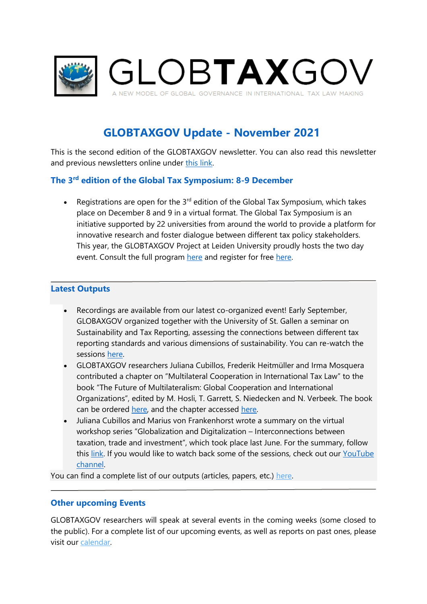

# **GLOBTAXGOV Update - November 2021**

This is the second edition of the GLOBTAXGOV newsletter. You can also read this newsletter and previous newsletters online under [this link.](https://globtaxgov.weblog.leidenuniv.nl/newsletter/)

### **The 3rd edition of the Global Tax Symposium: 8-9 December**

• Registrations are open for the  $3^{rd}$  edition of the Global Tax Symposium, which takes place on December 8 and 9 in a virtual format. The Global Tax Symposium is an initiative supported by 22 universities from around the world to provide a platform for innovative research and foster dialogue between different tax policy stakeholders. This year, the GLOBTAXGOV Project at Leiden University proudly hosts the two day event. Consult the full program [here](http://globtaxgov.weblog.leidenuniv.nl/files/2021/10/GTS-2021-Programme-version-5-Nov-2021.pdf) and register for free [here.](https://www.formdesk.com/universiteitleiden/registration-gts-2021)

#### **Latest Outputs**

- Recordings are available from our latest co-organized event! Early September, GLOBAXGOV organized together with the University of St. Gallen a seminar on Sustainability and Tax Reporting, assessing the connections between different tax reporting standards and various dimensions of sustainability. You can re-watch the sessions [here.](https://www.youtube.com/watch?v=7VnM-o9NlbI&list=PLrARaVLmTNT-gq1sylpbytGrFzaJC61QN)
- GLOBTAXGOV researchers Juliana Cubillos, Frederik Heitmüller and Irma Mosquera contributed a chapter on "Multilateral Cooperation in International Tax Law" to the book "The Future of Multilateralism: Global Cooperation and International Organizations", edited by M. Hosli, T. Garrett, S. Niedecken and N. Verbeek. The book can be ordered [here,](https://rowman.com/ISBN/9781538155288/The-Future-of-Multilateralism-Global-Cooperation-and-International-Organizations) and the chapter accessed [here.](http://globtaxgov.weblog.leidenuniv.nl/files/2021/08/Multilateral-Cooperation-in-International-Tax-Law.pdf)
- Juliana Cubillos and Marius von Frankenhorst wrote a summary on the virtual workshop series "Globalization and Digitalization – Interconnections between taxation, trade and investment", which took place last June. For the summary, follow this [link.](https://globtaxgov.weblog.leidenuniv.nl/2021/08/04/report-virtual-workshop-series-globalization-and-digitalization-interconnections-between-taxation-trade-and-investment/) If you would like to watch back some of the sessions, check out our YouTube [channel.](https://www.youtube.com/watch?v=7Qy1yOwhfRE&list=PLrARaVLmTNT83Oxgjl_iAemqR-jiVEqKu)

You can find a complete list of our outputs (articles, papers, etc.) [here.](https://globtaxgov.weblog.leidenuniv.nl/outputs/)

#### **Other upcoming Events**

GLOBTAXGOV researchers will speak at several events in the coming weeks (some closed to the public). For a complete list of our upcoming events, as well as reports on past ones, please visit our [calendar.](https://globtaxgov.weblog.leidenuniv.nl/calendar/)